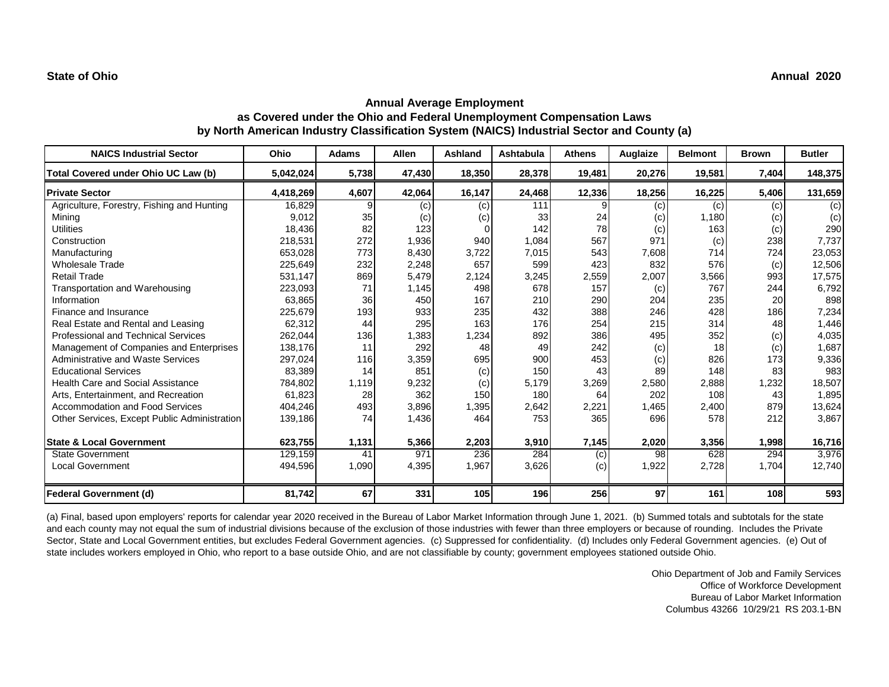| <b>NAICS Industrial Sector</b>               | Ohio      | <b>Adams</b> | <b>Allen</b> | Ashland | Ashtabula | <b>Athens</b> | Auglaize | <b>Belmont</b> | <b>Brown</b> | <b>Butler</b> |
|----------------------------------------------|-----------|--------------|--------------|---------|-----------|---------------|----------|----------------|--------------|---------------|
| Total Covered under Ohio UC Law (b)          | 5,042,024 | 5,738        | 47,430       | 18,350  | 28,378    | 19,481        | 20,276   | 19,581         | 7,404        | 148,375       |
| <b>Private Sector</b>                        | 4,418,269 | 4,607        | 42,064       | 16,147  | 24,468    | 12,336        | 18,256   | 16,225         | 5,406        | 131,659       |
| Agriculture, Forestry, Fishing and Hunting   | 16,829    | 9            | (c)          | (c)     | 111       | 9             | (c)      | (c)            | (c)          | (c)           |
| Minina                                       | 9.012     | 35           | (c)          | (c)     | 33        | 24            | (c)      | 1,180          | (c)          | (c)           |
| <b>Utilities</b>                             | 18,436    | 82           | 123          |         | 142       | 78            | (c)      | 163            | (c)          | 290           |
| Construction                                 | 218,531   | 272          | 1,936        | 940     | 1,084     | 567           | 971      | (c)            | 238          | 7,737         |
| Manufacturing                                | 653,028   | 773          | 8,430        | 3,722   | 7,015     | 543           | 7,608    | 714            | 724          | 23,053        |
| <b>Wholesale Trade</b>                       | 225,649   | 232          | 2,248        | 657     | 599       | 423           | 832      | 576            | (c)          | 12,506        |
| <b>Retail Trade</b>                          | 531,147   | 869          | 5,479        | 2,124   | 3,245     | 2,559         | 2,007    | 3,566          | 993          | 17,575        |
| Transportation and Warehousing               | 223,093   | 71           | 1,145        | 498     | 678       | 157           | (c)      | 767            | 244          | 6,792         |
| Information                                  | 63,865    | 36           | 450          | 167     | 210       | 290           | 204      | 235            | 20           | 898           |
| Finance and Insurance                        | 225,679   | 193          | 933          | 235     | 432       | 388           | 246      | 428            | 186          | 7,234         |
| Real Estate and Rental and Leasing           | 62,312    | 44           | 295          | 163     | 176       | 254           | 215      | 314            | 48           | 1,446         |
| <b>Professional and Technical Services</b>   | 262,044   | 136          | 1,383        | 1,234   | 892       | 386           | 495      | 352            | (c)          | 4,035         |
| Management of Companies and Enterprises      | 138,176   | 11           | 292          | 48      | 49        | 242           | (c)      | 18             | (c)          | 1,687         |
| Administrative and Waste Services            | 297,024   | 116          | 3,359        | 695     | 900       | 453           | (c)      | 826            | 173          | 9,336         |
| <b>Educational Services</b>                  | 83,389    | 14           | 851          | (c)     | 150       | 43            | 89       | 148            | 83           | 983           |
| <b>Health Care and Social Assistance</b>     | 784,802   | 1,119        | 9,232        | (c)     | 5,179     | 3,269         | 2,580    | 2,888          | 1,232        | 18,507        |
| Arts, Entertainment, and Recreation          | 61,823    | 28           | 362          | 150     | 180       | 64            | 202      | 108            | 43           | 1,895         |
| Accommodation and Food Services              | 404,246   | 493          | 3,896        | 1,395   | 2,642     | 2,221         | 1,465    | 2,400          | 879          | 13,624        |
| Other Services, Except Public Administration | 139,186   | 74           | 1,436        | 464     | 753       | 365           | 696      | 578            | 212          | 3,867         |
| <b>State &amp; Local Government</b>          | 623,755   | 1,131        | 5,366        | 2,203   | 3,910     | 7,145         | 2,020    | 3,356          | 1,998        | 16,716        |
| <b>State Government</b>                      | 129,159   | 41           | 971          | 236     | 284       | (c)           | 98       | 628            | 294          | 3,976         |
| <b>Local Government</b>                      | 494,596   | 1,090        | 4,395        | 1,967   | 3,626     | (c)           | 1,922    | 2,728          | 1,704        | 12,740        |
| <b>Federal Government (d)</b>                | 81,742    | 67           | 331          | 105     | 196       | 256           | 97       | 161            | 108          | 593           |

(a) Final, based upon employers' reports for calendar year 2020 received in the Bureau of Labor Market Information through June 1, 2021. (b) Summed totals and subtotals for the state and each county may not equal the sum of industrial divisions because of the exclusion of those industries with fewer than three employers or because of rounding. Includes the Private Sector, State and Local Government entities, but excludes Federal Government agencies. (c) Suppressed for confidentiality. (d) Includes only Federal Government agencies. (e) Out of state includes workers employed in Ohio, who report to a base outside Ohio, and are not classifiable by county; government employees stationed outside Ohio.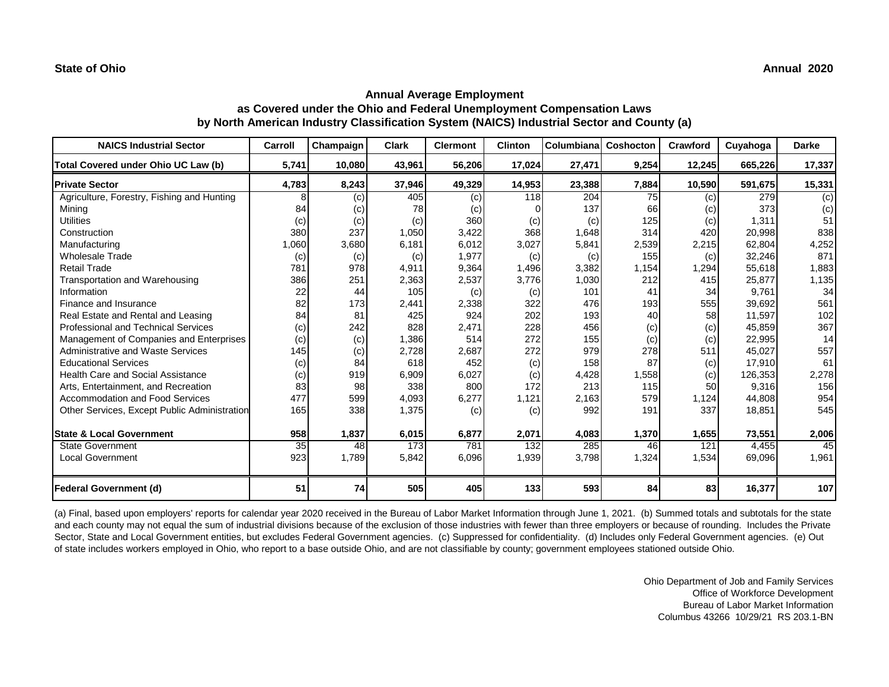| <b>NAICS Industrial Sector</b>               | Carroll | Champaign | <b>Clark</b> | <b>Clermont</b> | <b>Clinton</b> | Columbiana | Coshocton | Crawford | Cuyahoga | <b>Darke</b>   |
|----------------------------------------------|---------|-----------|--------------|-----------------|----------------|------------|-----------|----------|----------|----------------|
| Total Covered under Ohio UC Law (b)          | 5,741   | 10,080    | 43,961       | 56,206          | 17,024         | 27,471     | 9,254     | 12,245   | 665,226  | 17,337         |
| <b>Private Sector</b>                        | 4,783   | 8,243     | 37,946       | 49,329          | 14,953         | 23,388     | 7,884     | 10,590   | 591,675  | 15,331         |
| Agriculture, Forestry, Fishing and Hunting   | 8       | (c)       | 405          | (c)             | 118            | 204        | 75        | (c)      | 279      | $\overline{c}$ |
| Mining                                       | 84      | (c)       | 78           | (c)             |                | 137        | 66        | (c)      | 373      | (c)            |
| <b>Utilities</b>                             | (c)     | (c)       | (c)          | 360             | (c)            | (c)        | 125       | (c)      | 1,311    | 51             |
| Construction                                 | 380     | 237       | 1,050        | 3,422           | 368            | 1,648      | 314       | 420      | 20,998   | 838            |
| Manufacturing                                | 1,060   | 3,680     | 6,181        | 6,012           | 3,027          | 5,841      | 2,539     | 2,215    | 62,804   | 4,252          |
| <b>Wholesale Trade</b>                       | (c)     | (c)       | (c)          | 1,977           | (c)            | (c)        | 155       | (c)      | 32,246   | 871            |
| <b>Retail Trade</b>                          | 781     | 978       | 4,911        | 9,364           | 1,496          | 3,382      | 1,154     | 1,294    | 55,618   | 1,883          |
| Transportation and Warehousing               | 386     | 251       | 2,363        | 2,537           | 3,776          | 1,030      | 212       | 415      | 25,877   | 1,135          |
| Information                                  | 22      | 44        | 105          | (c)             | (c)            | 101        | 41        | 34       | 9,761    | 34             |
| Finance and Insurance                        | 82      | 173       | 2,441        | 2,338           | 322            | 476        | 193       | 555      | 39,692   | 561            |
| Real Estate and Rental and Leasing           | 84      | 81        | 425          | 924             | 202            | 193        | 40        | 58       | 11,597   | 102            |
| <b>Professional and Technical Services</b>   | (c)     | 242       | 828          | 2,471           | 228            | 456        | (c)       | (c)      | 45,859   | 367            |
| Management of Companies and Enterprises      | (c)     | (c)       | 1,386        | 514             | 272            | 155        | (c)       | (c)      | 22,995   | 14             |
| Administrative and Waste Services            | 145     | (c)       | 2,728        | 2,687           | 272            | 979        | 278       | 511      | 45,027   | 557            |
| <b>Educational Services</b>                  | (c)     | 84        | 618          | 452             | (c)            | 158        | 87        | (c)      | 17,910   | 61             |
| <b>Health Care and Social Assistance</b>     | (c)     | 919       | 6,909        | 6,027           | (c)            | 4,428      | 1,558     | (c)      | 126,353  | 2,278          |
| Arts, Entertainment, and Recreation          | 83      | 98        | 338          | 800             | 172            | 213        | 115       | 50       | 9,316    | 156            |
| <b>Accommodation and Food Services</b>       | 477     | 599       | 4,093        | 6,277           | 1,121          | 2,163      | 579       | 1,124    | 44,808   | 954            |
| Other Services, Except Public Administration | 165     | 338       | 1,375        | (c)             | (c)            | 992        | 191       | 337      | 18,851   | 545            |
|                                              |         |           |              |                 |                |            |           |          |          |                |
| <b>State &amp; Local Government</b>          | 958     | 1,837     | 6,015        | 6,877           | 2,071          | 4,083      | 1,370     | 1,655    | 73,551   | 2,006          |
| <b>State Government</b>                      | 35      | 48        | 173          | 781             | 132            | 285        | 46        | 121      | 4,455    | 45             |
| <b>Local Government</b>                      | 923     | 1,789     | 5,842        | 6,096           | 1,939          | 3,798      | 1,324     | 1,534    | 69,096   | 1,961          |
| Federal Government (d)                       | 51      | 74        | 505          | 405             | 133            | 593        | 84        | 83       | 16,377   | 107            |

(a) Final, based upon employers' reports for calendar year 2020 received in the Bureau of Labor Market Information through June 1, 2021. (b) Summed totals and subtotals for the state and each county may not equal the sum of industrial divisions because of the exclusion of those industries with fewer than three employers or because of rounding. Includes the Private Sector, State and Local Government entities, but excludes Federal Government agencies. (c) Suppressed for confidentiality. (d) Includes only Federal Government agencies. (e) Out of state includes workers employed in Ohio, who report to a base outside Ohio, and are not classifiable by county; government employees stationed outside Ohio.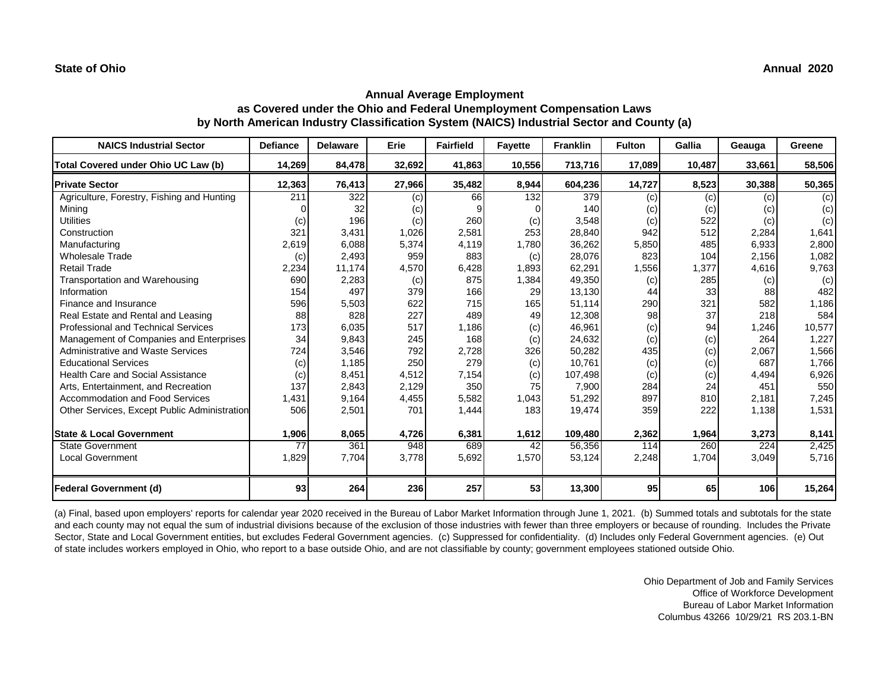| <b>NAICS Industrial Sector</b>               | <b>Defiance</b> | <b>Delaware</b> | Erie   | <b>Fairfield</b> | <b>Fayette</b> | <b>Franklin</b> | <b>Fulton</b> | Gallia | Geauga | Greene |
|----------------------------------------------|-----------------|-----------------|--------|------------------|----------------|-----------------|---------------|--------|--------|--------|
| Total Covered under Ohio UC Law (b)          | 14,269          | 84,478          | 32,692 | 41,863           | 10,556         | 713,716         | 17,089        | 10,487 | 33,661 | 58,506 |
| <b>Private Sector</b>                        | 12,363          | 76,413          | 27,966 | 35,482           | 8,944          | 604,236         | 14,727        | 8,523  | 30,388 | 50,365 |
| Agriculture, Forestry, Fishing and Hunting   | 211             | 322             | (c)    | 66               | 132            | 379             | (c)           | (c)    | (c)    | (c)    |
| Mining                                       |                 | 32              | (c)    |                  |                | 140             | (c)           | (c)    | (c)    | (c)    |
| <b>Utilities</b>                             | (c)             | 196             | (c)    | 260              | (c)            | 3,548           | (c)           | 522    | (c)    | (c)    |
| Construction                                 | 321             | 3,431           | 1,026  | 2,581            | 253            | 28,840          | 942           | 512    | 2,284  | 1,641  |
| Manufacturing                                | 2,619           | 6,088           | 5,374  | 4,119            | 1,780          | 36,262          | 5,850         | 485    | 6,933  | 2,800  |
| <b>Wholesale Trade</b>                       | (c)             | 2,493           | 959    | 883              | (c)            | 28,076          | 823           | 104    | 2,156  | 1,082  |
| <b>Retail Trade</b>                          | 2,234           | 11.174          | 4,570  | 6,428            | 1,893          | 62,291          | 1,556         | 1,377  | 4,616  | 9,763  |
| Transportation and Warehousing               | 690             | 2,283           | (c)    | 875              | 1,384          | 49,350          | (c)           | 285    | (c)    | (c)    |
| Information                                  | 154             | 497             | 379    | 166              | 29             | 13,130          | 44            | 33     | 88     | 482    |
| Finance and Insurance                        | 596             | 5,503           | 622    | 715              | 165            | 51,114          | 290           | 321    | 582    | 1,186  |
| Real Estate and Rental and Leasing           | 88              | 828             | 227    | 489              | 49             | 12,308          | 98            | 37     | 218    | 584    |
| Professional and Technical Services          | 173             | 6,035           | 517    | 1,186            | (c)            | 46,961          | (c)           | 94     | 1,246  | 10,577 |
| Management of Companies and Enterprises      | 34              | 9,843           | 245    | 168              | (c)            | 24,632          | (c)           | (c)    | 264    | 1,227  |
| Administrative and Waste Services            | 724             | 3,546           | 792    | 2,728            | 326            | 50,282          | 435           | (c)    | 2,067  | 1,566  |
| <b>Educational Services</b>                  | (c)             | 1,185           | 250    | 279              | (c)            | 10,761          | (c)           | (c)    | 687    | 1,766  |
| <b>Health Care and Social Assistance</b>     | (c)             | 8.451           | 4,512  | 7,154            | (c)            | 107,498         | (c)           | (c)    | 4.494  | 6,926  |
| Arts, Entertainment, and Recreation          | 137             | 2,843           | 2,129  | 350              | 75             | 7,900           | 284           | 24     | 451    | 550    |
| <b>Accommodation and Food Services</b>       | 1,431           | 9,164           | 4,455  | 5,582            | 1,043          | 51,292          | 897           | 810    | 2,181  | 7,245  |
| Other Services, Except Public Administration | 506             | 2,501           | 701    | 1,444            | 183            | 19,474          | 359           | 222    | 1,138  | 1,531  |
| <b>State &amp; Local Government</b>          | 1,906           | 8,065           | 4,726  | 6,381            | 1,612          | 109,480         | 2,362         | 1,964  | 3,273  | 8,141  |
| <b>State Government</b>                      | 77              | 361             | 948    | 689              | 42             | 56,356          | 114           | 260    | 224    | 2,425  |
| <b>Local Government</b>                      | 1,829           | 7,704           | 3,778  | 5,692            | 1,570          | 53,124          | 2,248         | 1,704  | 3,049  | 5,716  |
| Federal Government (d)                       | 93              | 264             | 236    | 257              | 53             | 13,300          | 95            | 65     | 106    | 15,264 |

(a) Final, based upon employers' reports for calendar year 2020 received in the Bureau of Labor Market Information through June 1, 2021. (b) Summed totals and subtotals for the state and each county may not equal the sum of industrial divisions because of the exclusion of those industries with fewer than three employers or because of rounding. Includes the Private Sector, State and Local Government entities, but excludes Federal Government agencies. (c) Suppressed for confidentiality. (d) Includes only Federal Government agencies. (e) Out of state includes workers employed in Ohio, who report to a base outside Ohio, and are not classifiable by county; government employees stationed outside Ohio.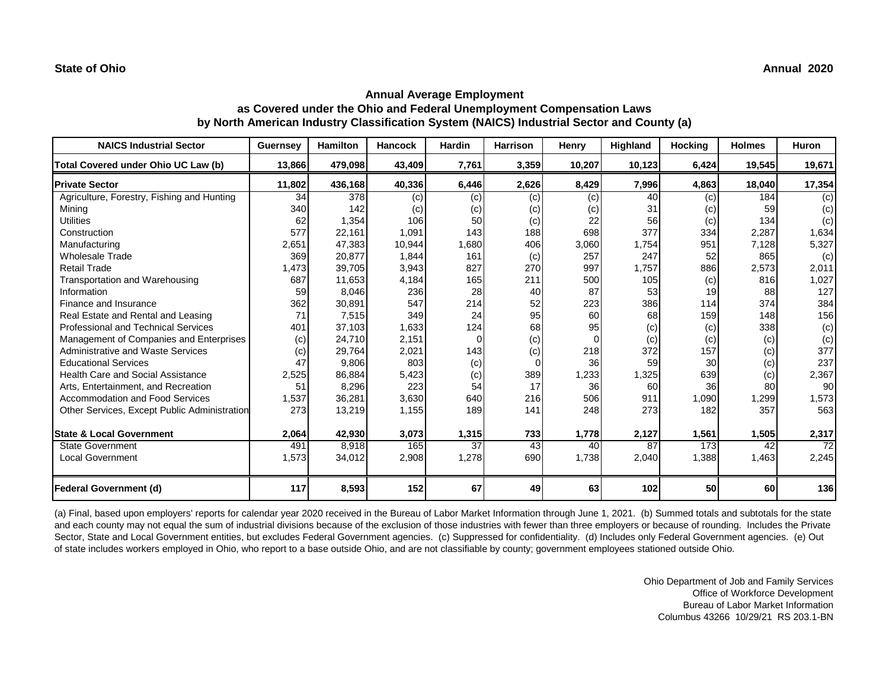| <b>NAICS Industrial Sector</b>               | <b>Guernsey</b> | <b>Hamilton</b> | <b>Hancock</b> | <b>Hardin</b> | <b>Harrison</b> | Henry  | Highland | <b>Hocking</b> | <b>Holmes</b> | Huron           |
|----------------------------------------------|-----------------|-----------------|----------------|---------------|-----------------|--------|----------|----------------|---------------|-----------------|
| Total Covered under Ohio UC Law (b)          | 13,866          | 479,098         | 43,409         | 7,761         | 3,359           | 10,207 | 10,123   | 6,424          | 19,545        | 19,671          |
| <b>Private Sector</b>                        | 11,802          | 436,168         | 40,336         | 6,446         | 2,626           | 8,429  | 7,996    | 4,863          | 18,040        | 17,354          |
| Agriculture, Forestry, Fishing and Hunting   | 34              | 378             | (c)            | (c)           | (c)             | (c)    | 40       | (c)            | 184           | $\overline{c}$  |
| Mining                                       | 340             | 142             | (c)            | (c)           | (c)             | (c)    | 31       | (c)            | 59            | (c)             |
| <b>Utilities</b>                             | 62              | 1,354           | 106            | 50            | (c)             |        | 56       | (c)            | 134           | (c)             |
| Construction                                 | 577             | 22,161          | 1,091          | 143           | 188             | 698    | 377      | 334            | 2,287         | 1,634           |
| Manufacturing                                | 2,651           | 47,383          | 10,944         | 1,680         | 406             | 3,060  | 1.754    | 951            | 7.128         | 5,327           |
| <b>Wholesale Trade</b>                       | 369             | 20,877          | 1,844          | 161           | (c)             | 257    | 247      | 52             | 865           | (c)             |
| <b>Retail Trade</b>                          | 1,473           | 39,705          | 3,943          | 827           | 270             | 997    | 1.757    | 886            | 2,573         | 2,011           |
| Transportation and Warehousing               | 687             | 11,653          | 4,184          | 165           | 211             | 500    | 105      | (c)            | 816           | 1,027           |
| Information                                  | 59              | 8,046           | 236            | 28            | 40              | 87     | 53       | 19             | 88            | 127             |
| Finance and Insurance                        | 362             | 30,891          | 547            | 214           | 52              | 223    | 386      | 114            | 374           | 384             |
| Real Estate and Rental and Leasing           | 71              | 7,515           | 349            | 24            | 95              | 60     | 68       | 159            | 148           | 156             |
| Professional and Technical Services          | 401             | 37,103          | 1,633          | 124           | 68              | 95     | (c)      | (c)            | 338           | (c)             |
| Management of Companies and Enterprises      | (c)             | 24,710          | 2,151          | 0             | (c)             |        | (c)      | (c)            | (c)           | (c)             |
| <b>Administrative and Waste Services</b>     | (c)             | 29,764          | 2,021          | 143           | (c)             | 218    | 372      | 157            | (c)           | 377             |
| <b>Educational Services</b>                  | 47              | 9,806           | 803            | (c)           | $\Omega$        | 36     | 59       | 30             | (c)           | 237             |
| <b>Health Care and Social Assistance</b>     | 2,525           | 86,884          | 5,423          | (c)           | 389             | 1,233  | 1,325    | 639            | (c)           | 2,367           |
| Arts, Entertainment, and Recreation          | 51              | 8,296           | 223            | 54            | 17              | 36     | 60       | 36             | 80            | 90              |
| <b>Accommodation and Food Services</b>       | 1,537           | 36,281          | 3,630          | 640           | 216             | 506    | 911      | 1,090          | 1,299         | 1,573           |
| Other Services, Except Public Administration | 273             | 13,219          | 1,155          | 189           | 141             | 248    | 273      | 182            | 357           | 563             |
|                                              |                 |                 |                |               |                 |        |          |                |               |                 |
| <b>State &amp; Local Government</b>          | 2,064           | 42,930          | 3,073          | 1,315         | 733             | 1,778  | 2,127    | 1,561          | 1,505         | 2,317           |
| <b>State Government</b>                      | 491             | 8,918           | 165            | 37            | 43              | 40     | 87       | 173            | 42            | $\overline{72}$ |
| <b>Local Government</b>                      | 1,573           | 34,012          | 2,908          | 1,278         | 690             | 1,738  | 2,040    | 1,388          | 1,463         | 2,245           |
| Federal Government (d)                       | 117             | 8,593           | 152            | 67            | 49              | 63     | 102      | 50             | 60            | 136             |

(a) Final, based upon employers' reports for calendar year 2020 received in the Bureau of Labor Market Information through June 1, 2021. (b) Summed totals and subtotals for the state and each county may not equal the sum of industrial divisions because of the exclusion of those industries with fewer than three employers or because of rounding. Includes the Private Sector, State and Local Government entities, but excludes Federal Government agencies. (c) Suppressed for confidentiality. (d) Includes only Federal Government agencies. (e) Out of state includes workers employed in Ohio, who report to a base outside Ohio, and are not classifiable by county; government employees stationed outside Ohio.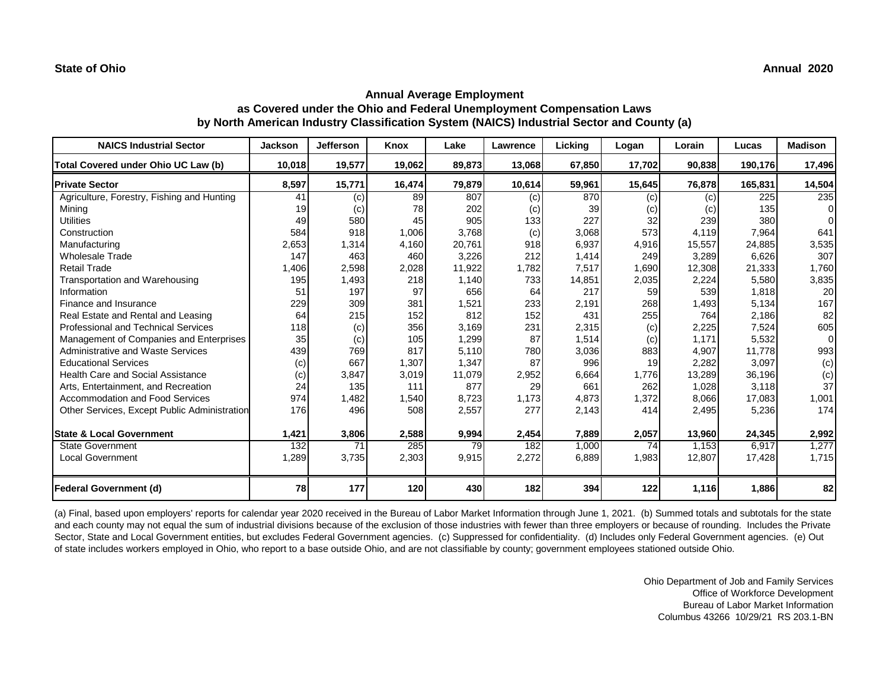#### **State of Ohio Annual 2020**

## **Annual Average Employment as Covered under the Ohio and Federal Unemployment Compensation Laws by North American Industry Classification System (NAICS) Industrial Sector and County (a)**

| <b>NAICS Industrial Sector</b>               | <b>Jackson</b> | <b>Jefferson</b> | Knox   | Lake   | Lawrence   | Licking | Logan  | Lorain | Lucas   | <b>Madison</b>  |
|----------------------------------------------|----------------|------------------|--------|--------|------------|---------|--------|--------|---------|-----------------|
| Total Covered under Ohio UC Law (b)          | 10,018         | 19,577           | 19,062 | 89,873 | 13,068     | 67,850  | 17,702 | 90,838 | 190,176 | 17,496          |
| <b>Private Sector</b>                        | 8,597          | 15,771           | 16,474 | 79,879 | 10,614     | 59,961  | 15,645 | 76,878 | 165,831 | 14,504          |
| Agriculture, Forestry, Fishing and Hunting   | 41             | (c)              | 89     | 807    | (c)        | 870     | (c)    | (c)    | 225     | 235             |
| Mining                                       | 19             | (c)              | 78     | 202    | (c)        | 39      | (c)    | (c)    | 135     | $\Omega$        |
| <b>Utilities</b>                             | 49             | 580              | 45     | 905    | 133        | 227     | 32     | 239    | 380     | <sup>n</sup>    |
| Construction                                 | 584            | 918              | 1,006  | 3,768  | (c)        | 3,068   | 573    | 4,119  | 7,964   | 641             |
| Manufacturing                                | 2,653          | 1,314            | 4,160  | 20,761 | 918        | 6,937   | 4,916  | 15,557 | 24,885  | 3,535           |
| <b>Wholesale Trade</b>                       | 147            | 463              | 460    | 3,226  | 212        | 1,414   | 249    | 3,289  | 6,626   | 307             |
| <b>Retail Trade</b>                          | 1,406          | 2,598            | 2,028  | 11,922 | 1,782      | 7,517   | 1,690  | 12,308 | 21,333  | 1,760           |
| Transportation and Warehousing               | 195            | 1,493            | 218    | 1,140  | 733        | 14,851  | 2,035  | 2,224  | 5,580   | 3,835           |
| Information                                  | 51             | 197              | 97     | 656    | 64         | 217     | 59     | 539    | 1,818   | 20 <sub>l</sub> |
| Finance and Insurance                        | 229            | 309              | 381    | 1,521  | 233        | 2,191   | 268    | 1,493  | 5,134   | 167             |
| Real Estate and Rental and Leasing           | 64             | 215              | 152    | 812    | 152        | 431     | 255    | 764    | 2,186   | 82              |
| <b>Professional and Technical Services</b>   | 118            | (c)              | 356    | 3,169  | 231        | 2,315   | (c)    | 2,225  | 7,524   | 605             |
| Management of Companies and Enterprises      | 35             | (c)              | 105    | 1,299  | 87         | 1,514   | (c)    | 1,171  | 5,532   | $\overline{0}$  |
| <b>Administrative and Waste Services</b>     | 439            | 769              | 817    | 5,110  | <b>780</b> | 3,036   | 883    | 4.907  | 11,778  | 993             |
| <b>Educational Services</b>                  | (c)            | 667              | 1,307  | 1,347  | 87         | 996     | 19     | 2,282  | 3,097   | (c)             |
| <b>Health Care and Social Assistance</b>     | (c)            | 3,847            | 3,019  | 11,079 | 2,952      | 6,664   | 1.776  | 13,289 | 36,196  | (c)             |
| Arts, Entertainment, and Recreation          | 24             | 135              | 111    | 877    | 29         | 661     | 262    | 1,028  | 3,118   | 37              |
| Accommodation and Food Services              | 974            | 1,482            | 1,540  | 8,723  | 1,173      | 4,873   | 1,372  | 8,066  | 17,083  | 1,001           |
| Other Services, Except Public Administration | 176            | 496              | 508    | 2,557  | 277        | 2,143   | 414    | 2,495  | 5,236   | 174             |
| <b>State &amp; Local Government</b>          | 1,421          | 3,806            | 2,588  | 9,994  | 2,454      | 7,889   | 2,057  | 13,960 | 24,345  | 2,992           |
| <b>State Government</b>                      | 132            | 71               | 285    | 79     | 182        | 1,000   | 74     | 1,153  | 6,917   | 1,277           |
| <b>Local Government</b>                      | 1,289          | 3,735            | 2,303  | 9,915  | 2,272      | 6,889   | 1,983  | 12,807 | 17,428  | 1,715           |
| <b>Federal Government (d)</b>                | 78             | 177              | 120    | 430    | 182        | 394     | 122    | 1,116  | 1,886   | 82              |

(a) Final, based upon employers' reports for calendar year 2020 received in the Bureau of Labor Market Information through June 1, 2021. (b) Summed totals and subtotals for the state and each county may not equal the sum of industrial divisions because of the exclusion of those industries with fewer than three employers or because of rounding. Includes the Private Sector, State and Local Government entities, but excludes Federal Government agencies. (c) Suppressed for confidentiality. (d) Includes only Federal Government agencies. (e) Out of state includes workers employed in Ohio, who report to a base outside Ohio, and are not classifiable by county; government employees stationed outside Ohio.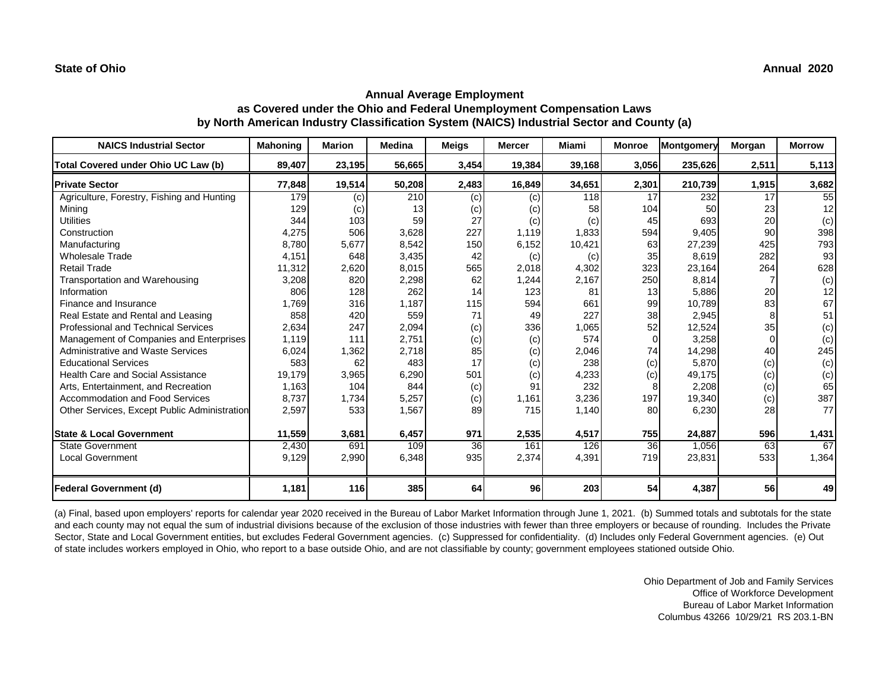| <b>NAICS Industrial Sector</b>               | <b>Mahoning</b> | <b>Marion</b> | <b>Medina</b>   | <b>Meigs</b>    | <b>Mercer</b> | Miami  | <b>Monroe</b> | <b>Montgomery</b> | <b>Morgan</b> | <b>Morrow</b> |
|----------------------------------------------|-----------------|---------------|-----------------|-----------------|---------------|--------|---------------|-------------------|---------------|---------------|
| Total Covered under Ohio UC Law (b)          | 89,407          | 23,195        | 56,665          | 3,454           | 19,384        | 39,168 | 3,056         | 235,626           | 2,511         | 5,113         |
| <b>Private Sector</b>                        | 77,848          | 19,514        | 50,208          | 2,483           | 16,849        | 34,651 | 2,301         | 210,739           | 1,915         | 3,682         |
| Agriculture, Forestry, Fishing and Hunting   | 179             | (c)           | 210             | (c)             | (c)           | 118    | 17            | 232               | 17            | 55            |
| Mining                                       | 129             | (c)           | 13 <sup>l</sup> | (c)             | (c)           | 58     | 104           | 50                | 23            | 12            |
| <b>Utilities</b>                             | 344             | 103           | 59              | 27              | (c)           | (c)    | 45            | 693               | 20            | (c)           |
| Construction                                 | 4,275           | 506           | 3,628           | 227             | 1.119         | 1,833  | 594           | 9.405             | 90            | 398           |
| Manufacturing                                | 8,780           | 5,677         | 8,542           | 150             | 6,152         | 10,421 | 63            | 27,239            | 425           | 793           |
| <b>Wholesale Trade</b>                       | 4,151           | 648           | 3,435           | 42              | (c)           | (c)    | 35            | 8.619             | 282           | 93            |
| <b>Retail Trade</b>                          | 11,312          | 2,620         | 8,015           | 565             | 2,018         | 4,302  | 323           | 23,164            | 264           | 628           |
| Transportation and Warehousing               | 3,208           | 820           | 2,298           | 62              | 1,244         | 2,167  | 250           | 8,814             |               | (c)           |
| Information                                  | 806             | 128           | 262             | 14              | 123           | 81     | 13            | 5.886             | 20            | 12            |
| Finance and Insurance                        | 1,769           | 316           | 1,187           | 115             | 594           | 661    | 99            | 10,789            | 83            | 67            |
| Real Estate and Rental and Leasing           | 858             | 420           | 559             | 71              | 49            | 227    | 38            | 2,945             | 8             | 51            |
| <b>Professional and Technical Services</b>   | 2,634           | 247           | 2,094           | (c)             | 336           | 1,065  | 52            | 12.524            | 35            | (c)           |
| Management of Companies and Enterprises      | 1,119           | 111           | 2,751           | (c)             | (c)           | 574    | $\Omega$      | 3,258             | 0             | (c)           |
| <b>Administrative and Waste Services</b>     | 6,024           | 1,362         | 2,718           | 85              | (c)           | 2,046  | 74            | 14,298            | 40            | 245           |
| <b>Educational Services</b>                  | 583             | 62            | 483             | 17              | (c)           | 238    | (c)           | 5.870             | (c)           | (c)           |
| <b>Health Care and Social Assistance</b>     | 19,179          | 3,965         | 6,290           | 501             | (c)           | 4,233  | (c)           | 49,175            | (c)           | (c)           |
| Arts, Entertainment, and Recreation          | 1,163           | 104           | 844             | (c)             | 91            | 232    |               | 2,208             | (c)           | 65            |
| Accommodation and Food Services              | 8,737           | 1,734         | 5,257           | (c)             | 1,161         | 3,236  | 197           | 19,340            | (c)           | 387           |
| Other Services, Except Public Administration | 2,597           | 533           | 1,567           | 89              | 715           | 1,140  | 80            | 6,230             | 28            | 77            |
| <b>State &amp; Local Government</b>          | 11,559          | 3,681         | 6,457           | 971             | 2,535         | 4,517  | 755           | 24,887            | 596           | 1,431         |
| <b>State Government</b>                      | 2,430           | 691           | 109             | $\overline{36}$ | 161           | 126    | 36            | 1,056             | 63            | 67            |
| <b>Local Government</b>                      | 9,129           | 2,990         | 6,348           | 935             | 2,374         | 4,391  | 719           | 23,831            | 533           | 1,364         |
| <b>Federal Government (d)</b>                | 1,181           | 116           | 385             | 64              | 96            | 203    | 54            | 4,387             | 56            | 49            |

(a) Final, based upon employers' reports for calendar year 2020 received in the Bureau of Labor Market Information through June 1, 2021. (b) Summed totals and subtotals for the state and each county may not equal the sum of industrial divisions because of the exclusion of those industries with fewer than three employers or because of rounding. Includes the Private Sector, State and Local Government entities, but excludes Federal Government agencies. (c) Suppressed for confidentiality. (d) Includes only Federal Government agencies. (e) Out of state includes workers employed in Ohio, who report to a base outside Ohio, and are not classifiable by county; government employees stationed outside Ohio.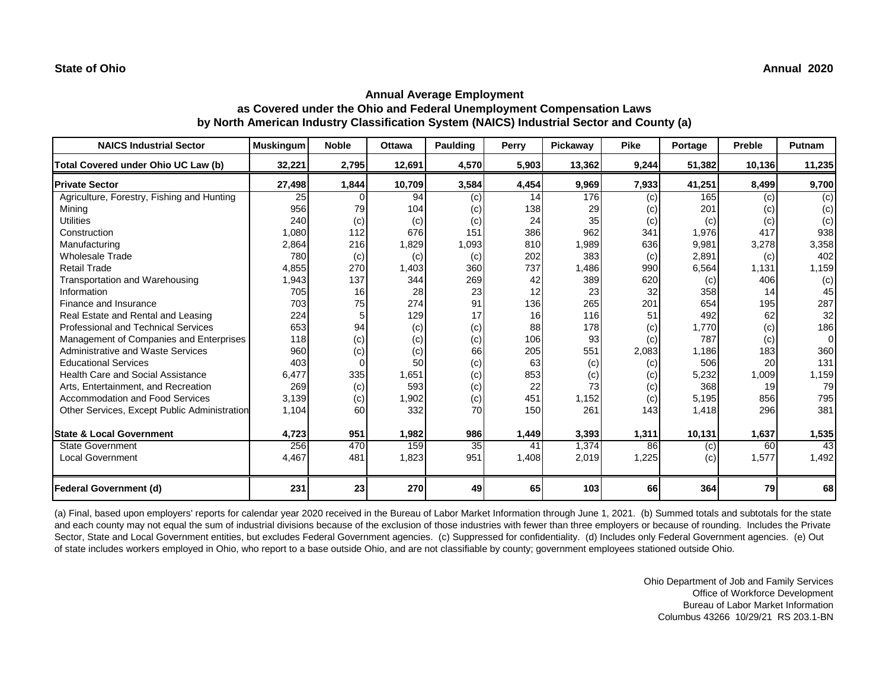| <b>NAICS Industrial Sector</b>               | <b>Muskingum</b> | <b>Noble</b> | <b>Ottawa</b> | Paulding | Perry | Pickaway | <b>Pike</b> | Portage | <b>Preble</b> | Putnam         |
|----------------------------------------------|------------------|--------------|---------------|----------|-------|----------|-------------|---------|---------------|----------------|
| Total Covered under Ohio UC Law (b)          | 32,221           | 2,795        | 12,691        | 4,570    | 5,903 | 13,362   | 9,244       | 51,382  | 10,136        | 11,235         |
| <b>Private Sector</b>                        | 27,498           | 1,844        | 10,709        | 3,584    | 4,454 | 9,969    | 7,933       | 41,251  | 8,499         | 9,700          |
| Agriculture, Forestry, Fishing and Hunting   | 25               |              | 94            | (c)      | 14    | 176      | (c)         | 165     | (c)           | $\overline{c}$ |
| Mining                                       | 956              | 79           | 104           | (c)      | 138   | 29       | (c)         | 201     | (c)           | (c)            |
| <b>Utilities</b>                             | 240              | (c)          | (c)           | (c)      | 24    | 35       | (c)         | (c)     | (c)           | (c)            |
| Construction                                 | 1,080            | 112          | 676           | 151      | 386   | 962      | 341         | 1,976   | 417           | 938            |
| Manufacturing                                | 2,864            | 216          | 1,829         | 1,093    | 810   | 1,989    | 636         | 9,981   | 3,278         | 3,358          |
| <b>Wholesale Trade</b>                       | 780              | (c)          | (c)           | (c)      | 202   | 383      | (c)         | 2,891   | (c)           | 402            |
| <b>Retail Trade</b>                          | 4,855            | 270          | 1,403         | 360      | 737   | 1,486    | 990         | 6,564   | 1,131         | 1,159          |
| Transportation and Warehousing               | 1,943            | 137          | 344           | 269      | 42    | 389      | 620         | (c)     | 406           | (c)            |
| Information                                  | 705              | 16           | 28            | 23       | 12    | 23       | 32          | 358     | 14            | 45             |
| Finance and Insurance                        | 703              | 75           | 274           | 91       | 136   | 265      | 201         | 654     | 195           | 287            |
| Real Estate and Rental and Leasing           | 224              | 5            | 129           | 17       | 16    | 116      | 51          | 492     | 62            | 32             |
| <b>Professional and Technical Services</b>   | 653              | 94           | (c)           | (c)      | 88    | 178      | (c)         | 1.770   | (c)           | 186            |
| Management of Companies and Enterprises      | 118              | (c)          | (c)           | (c)      | 106   | 93       | (c)         | 787     | (c)           | $\Omega$       |
| <b>Administrative and Waste Services</b>     | 960              | (c)          | (c)           | 66       | 205   | 551      | 2,083       | 1,186   | 183           | 360            |
| <b>Educational Services</b>                  | 403              |              | 50            | (c)      | 63    | (c)      | (c)         | 506     | 20            | 131            |
| <b>Health Care and Social Assistance</b>     | 6,477            | 335          | 1,651         | (c)      | 853   | (c)      | (c)         | 5,232   | 1,009         | 1,159          |
| Arts, Entertainment, and Recreation          | 269              | (c)          | 593           | (c)      | 22    | 73       | (c)         | 368     | 19            | 79             |
| Accommodation and Food Services              | 3,139            | (c)          | 1,902         | (c)      | 451   | 1,152    | (c)         | 5,195   | 856           | 795            |
| Other Services, Except Public Administration | 1,104            | 60           | 332           | 70       | 150   | 261      | 143         | 1,418   | 296           | 381            |
|                                              |                  |              |               |          |       |          |             |         |               |                |
| <b>State &amp; Local Government</b>          | 4,723            | 951          | 1,982         | 986      | 1,449 | 3,393    | 1,311       | 10,131  | 1,637         | 1,535          |
| <b>State Government</b>                      | 256              | 470          | 159           | 35       | 41    | 1,374    | 86          | (c)     | 60            | 43             |
| <b>Local Government</b>                      | 4,467            | 481          | 1,823         | 951      | 1,408 | 2,019    | 1,225       | (c)     | 1,577         | 1,492          |
| <b>Federal Government (d)</b>                | 231              | 23           | 270           | 49       | 65    | 103      | 66          | 364     | 79            | 68             |

(a) Final, based upon employers' reports for calendar year 2020 received in the Bureau of Labor Market Information through June 1, 2021. (b) Summed totals and subtotals for the state and each county may not equal the sum of industrial divisions because of the exclusion of those industries with fewer than three employers or because of rounding. Includes the Private Sector, State and Local Government entities, but excludes Federal Government agencies. (c) Suppressed for confidentiality. (d) Includes only Federal Government agencies. (e) Out of state includes workers employed in Ohio, who report to a base outside Ohio, and are not classifiable by county; government employees stationed outside Ohio.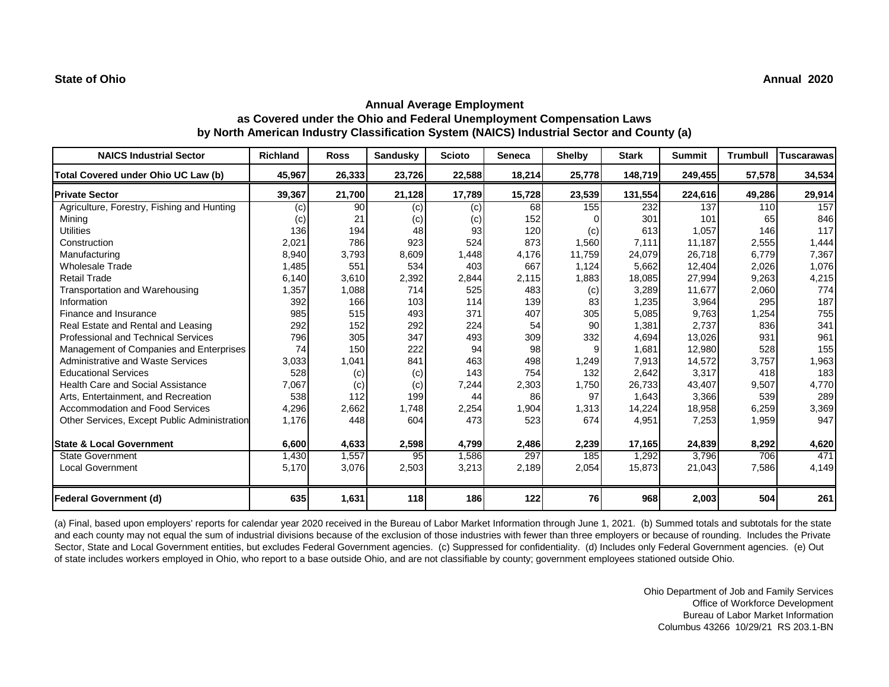#### **State of Ohio Annual 2020**

## **Annual Average Employment as Covered under the Ohio and Federal Unemployment Compensation Laws by North American Industry Classification System (NAICS) Industrial Sector and County (a)**

| <b>NAICS Industrial Sector</b>               | <b>Richland</b> | <b>Ross</b> | <b>Sandusky</b> | <b>Scioto</b> | <b>Seneca</b> | <b>Shelby</b> | <b>Stark</b> | <b>Summit</b> | <b>Trumbull</b> | <b>Tuscarawas</b> |
|----------------------------------------------|-----------------|-------------|-----------------|---------------|---------------|---------------|--------------|---------------|-----------------|-------------------|
| Total Covered under Ohio UC Law (b)          | 45,967          | 26,333      | 23,726          | 22,588        | 18,214        | 25,778        | 148,719      | 249,455       | 57,578          | 34,534            |
| <b>Private Sector</b>                        | 39,367          | 21,700      | 21,128          | 17,789        | 15,728        | 23,539        | 131,554      | 224,616       | 49,286          | 29,914            |
| Agriculture, Forestry, Fishing and Hunting   | (c)             | 90          | (c)             | (c)           | 68            | 155           | 232          | 137           | 110             | 157               |
| Mining                                       | (c)             | 21          | (c)             | (c)           | 152           |               | 301          | 101           | 65              | 846               |
| <b>Utilities</b>                             | 136             | 194         | 48              | 93            | 120           | (c)           | 613          | 1,057         | 146             | 117               |
| Construction                                 | 2,021           | 786         | 923             | 524           | 873           | 1,560         | 7,111        | 11,187        | 2,555           | 1,444             |
| Manufacturing                                | 8,940           | 3,793       | 8,609           | 1,448         | 4,176         | 11,759        | 24,079       | 26,718        | 6,779           | 7,367             |
| <b>Wholesale Trade</b>                       | 1,485           | 551         | 534             | 403           | 667           | 1,124         | 5,662        | 12,404        | 2,026           | 1,076             |
| <b>Retail Trade</b>                          | 6,140           | 3,610       | 2,392           | 2,844         | 2,115         | 1,883         | 18,085       | 27,994        | 9,263           | 4,215             |
| Transportation and Warehousing               | 1,357           | 1,088       | 714             | 525           | 483           | (c)           | 3,289        | 11,677        | 2,060           | 774               |
| Information                                  | 392             | 166         | 103             | 114           | 139           | 83            | 1,235        | 3,964         | 295             | 187               |
| Finance and Insurance                        | 985             | 515         | 493             | 371           | 407           | 305           | 5,085        | 9,763         | 1,254           | 755               |
| Real Estate and Rental and Leasing           | 292             | 152         | 292             | 224           | 54            | 90            | 1,381        | 2,737         | 836             | 341               |
| <b>Professional and Technical Services</b>   | 796             | 305         | 347             | 493           | 309           | 332           | 4,694        | 13,026        | 931             | 961               |
| Management of Companies and Enterprises      | 74              | 150         | 222             | 94            | 98            |               | 1,681        | 12,980        | 528             | 155               |
| Administrative and Waste Services            | 3,033           | 1,041       | 841             | 463           | 498           | 1,249         | 7,913        | 14,572        | 3,757           | 1,963             |
| <b>Educational Services</b>                  | 528             | (c)         | (c)             | 143           | 754           | 132           | 2,642        | 3.317         | 418             | 183               |
| <b>Health Care and Social Assistance</b>     | 7,067           | (c)         | (c)             | 7,244         | 2,303         | 1,750         | 26,733       | 43.407        | 9,507           | 4,770             |
| Arts, Entertainment, and Recreation          | 538             | 112         | 199             | 44            | 86            | 97            | 1,643        | 3,366         | 539             | 289               |
| Accommodation and Food Services              | 4,296           | 2,662       | 1,748           | 2,254         | 1,904         | 1,313         | 14,224       | 18,958        | 6,259           | 3,369             |
| Other Services, Except Public Administration | 1,176           | 448         | 604             | 473           | 523           | 674           | 4,951        | 7,253         | 1,959           | 947               |
| <b>State &amp; Local Government</b>          | 6,600           | 4,633       | 2,598           | 4,799         | 2,486         | 2,239         | 17,165       | 24,839        | 8,292           | 4,620             |
| <b>State Government</b>                      | 1,430           | 1,557       | 95              | 1,586         | 297           | 185           | 1,292        | 3,796         | 706             | 471               |
| <b>Local Government</b>                      | 5,170           | 3,076       | 2,503           | 3,213         | 2,189         | 2,054         | 15,873       | 21,043        | 7,586           | 4,149             |
| <b>Federal Government (d)</b>                | 635             | 1,631       | 118             | 186           | 122           | 76            | 968          | 2,003         | 504             | 261               |

(a) Final, based upon employers' reports for calendar year 2020 received in the Bureau of Labor Market Information through June 1, 2021. (b) Summed totals and subtotals for the state and each county may not equal the sum of industrial divisions because of the exclusion of those industries with fewer than three employers or because of rounding. Includes the Private Sector, State and Local Government entities, but excludes Federal Government agencies. (c) Suppressed for confidentiality. (d) Includes only Federal Government agencies. (e) Out of state includes workers employed in Ohio, who report to a base outside Ohio, and are not classifiable by county; government employees stationed outside Ohio.